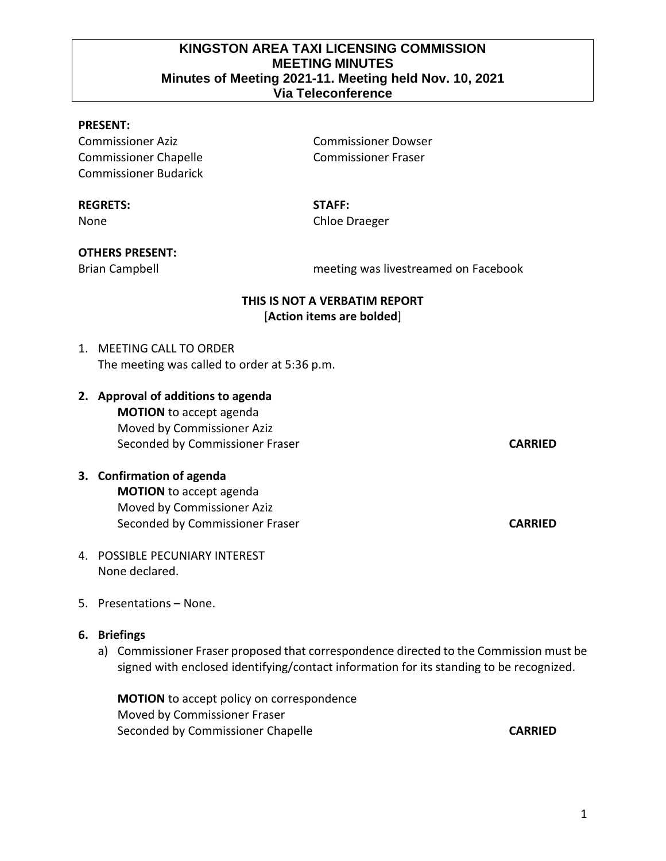#### **KINGSTON AREA TAXI LICENSING COMMISSION MEETING MINUTES Minutes of Meeting 2021-11. Meeting held Nov. 10, 2021 Via Teleconference**

#### **PRESENT:**

Commissioner Aziz Commissioner Dowser Commissioner Chapelle Commissioner Fraser Commissioner Budarick

#### **REGRETS: STAFF:**

None Chloe Draeger

#### **OTHERS PRESENT:**

Brian Campbell meeting was livestreamed on Facebook

### **THIS IS NOT A VERBATIM REPORT** [**Action items are bolded**]

- 1. MEETING CALL TO ORDER The meeting was called to order at 5:36 p.m.
- **2. Approval of additions to agenda MOTION** to accept agenda Moved by Commissioner Aziz Seconded by Commissioner Fraser **CARRIED**

# **3. Confirmation of agenda MOTION** to accept agenda Moved by Commissioner Aziz Seconded by Commissioner Fraser **CARRIED**

- 4. POSSIBLE PECUNIARY INTEREST None declared.
- 5. Presentations None.

#### **6. Briefings**

a) Commissioner Fraser proposed that correspondence directed to the Commission must be signed with enclosed identifying/contact information for its standing to be recognized.

**MOTION** to accept policy on correspondence Moved by Commissioner Fraser Seconded by Commissioner Chapelle **CARRIED**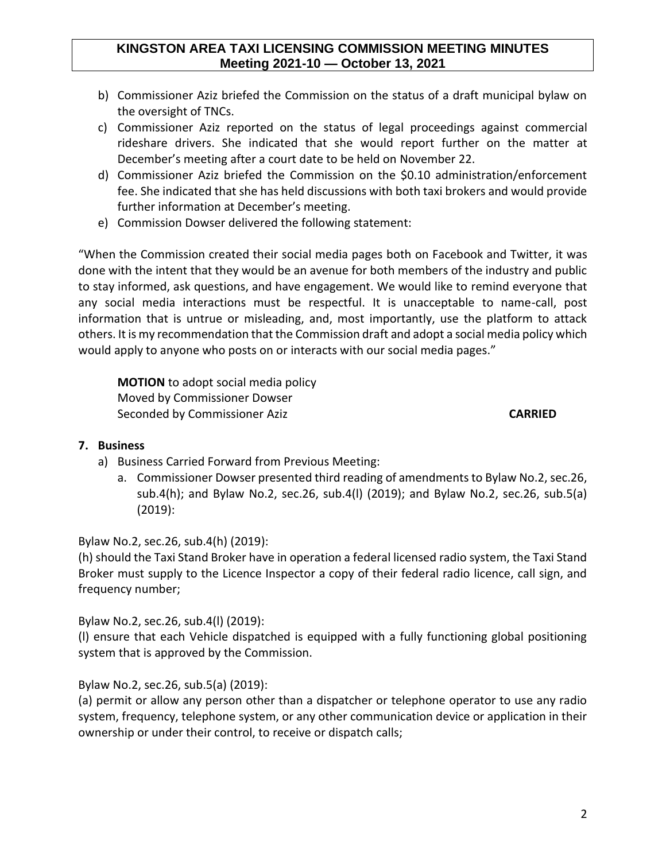### **KINGSTON AREA TAXI LICENSING COMMISSION MEETING MINUTES Meeting 2021-10 — October 13, 2021**

- b) Commissioner Aziz briefed the Commission on the status of a draft municipal bylaw on the oversight of TNCs.
- c) Commissioner Aziz reported on the status of legal proceedings against commercial rideshare drivers. She indicated that she would report further on the matter at December's meeting after a court date to be held on November 22.
- d) Commissioner Aziz briefed the Commission on the \$0.10 administration/enforcement fee. She indicated that she has held discussions with both taxi brokers and would provide further information at December's meeting.
- e) Commission Dowser delivered the following statement:

"When the Commission created their social media pages both on Facebook and Twitter, it was done with the intent that they would be an avenue for both members of the industry and public to stay informed, ask questions, and have engagement. We would like to remind everyone that any social media interactions must be respectful. It is unacceptable to name-call, post information that is untrue or misleading, and, most importantly, use the platform to attack others. It is my recommendation that the Commission draft and adopt a social media policy which would apply to anyone who posts on or interacts with our social media pages."

**MOTION** to adopt social media policy Moved by Commissioner Dowser Seconded by Commissioner Aziz **CARRIED**

## **7. Business**

- a) Business Carried Forward from Previous Meeting:
	- a. Commissioner Dowser presented third reading of amendments to Bylaw No.2, sec.26, sub.4(h); and Bylaw No.2, sec.26, sub.4(l) (2019); and Bylaw No.2, sec.26, sub.5(a) (2019):

Bylaw No.2, sec.26, sub.4(h) (2019):

(h) should the Taxi Stand Broker have in operation a federal licensed radio system, the Taxi Stand Broker must supply to the Licence Inspector a copy of their federal radio licence, call sign, and frequency number;

Bylaw No.2, sec.26, sub.4(l) (2019):

(l) ensure that each Vehicle dispatched is equipped with a fully functioning global positioning system that is approved by the Commission.

Bylaw No.2, sec.26, sub.5(a) (2019):

(a) permit or allow any person other than a dispatcher or telephone operator to use any radio system, frequency, telephone system, or any other communication device or application in their ownership or under their control, to receive or dispatch calls;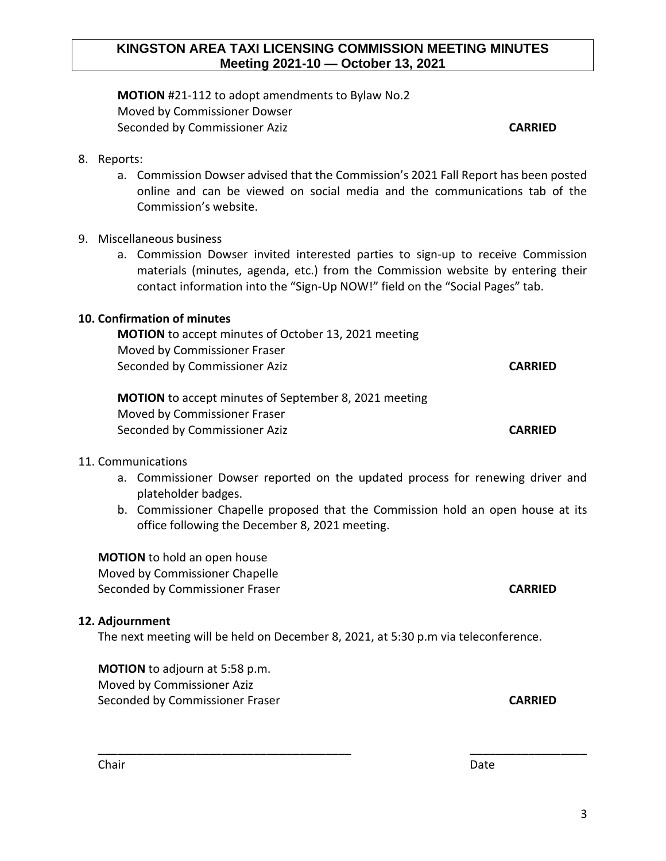## **KINGSTON AREA TAXI LICENSING COMMISSION MEETING MINUTES Meeting 2021-10 — October 13, 2021**

**MOTION** #21-112 to adopt amendments to Bylaw No.2 Moved by Commissioner Dowser Seconded by Commissioner Aziz **CARRIED**

### 8. Reports:

a. Commission Dowser advised that the Commission's 2021 Fall Report has been posted online and can be viewed on social media and the communications tab of the Commission's website.

## 9. Miscellaneous business

a. Commission Dowser invited interested parties to sign-up to receive Commission materials (minutes, agenda, etc.) from the Commission website by entering their contact information into the "Sign-Up NOW!" field on the "Social Pages" tab.

### **10. Confirmation of minutes**

**MOTION** to accept minutes of October 13, 2021 meeting Moved by Commissioner Fraser Seconded by Commissioner Aziz **CARRIED** 

**MOTION** to accept minutes of September 8, 2021 meeting Moved by Commissioner Fraser Seconded by Commissioner Aziz **CARRIED** 

#### 11. Communications

- a. Commissioner Dowser reported on the updated process for renewing driver and plateholder badges.
- b. Commissioner Chapelle proposed that the Commission hold an open house at its office following the December 8, 2021 meeting.

**MOTION** to hold an open house Moved by Commissioner Chapelle Seconded by Commissioner Fraser **CARRIED**

#### **12. Adjournment**

The next meeting will be held on December 8, 2021, at 5:30 p.m via teleconference.

\_\_\_\_\_\_\_\_\_\_\_\_\_\_\_\_\_\_\_\_\_\_\_\_\_\_\_\_\_\_\_\_\_\_\_\_\_\_\_ \_\_\_\_\_\_\_\_\_\_\_\_\_\_\_\_\_\_

**MOTION** to adjourn at 5:58 p.m. Moved by Commissioner Aziz Seconded by Commissioner Fraser **CARRIED**

Chair **Date**